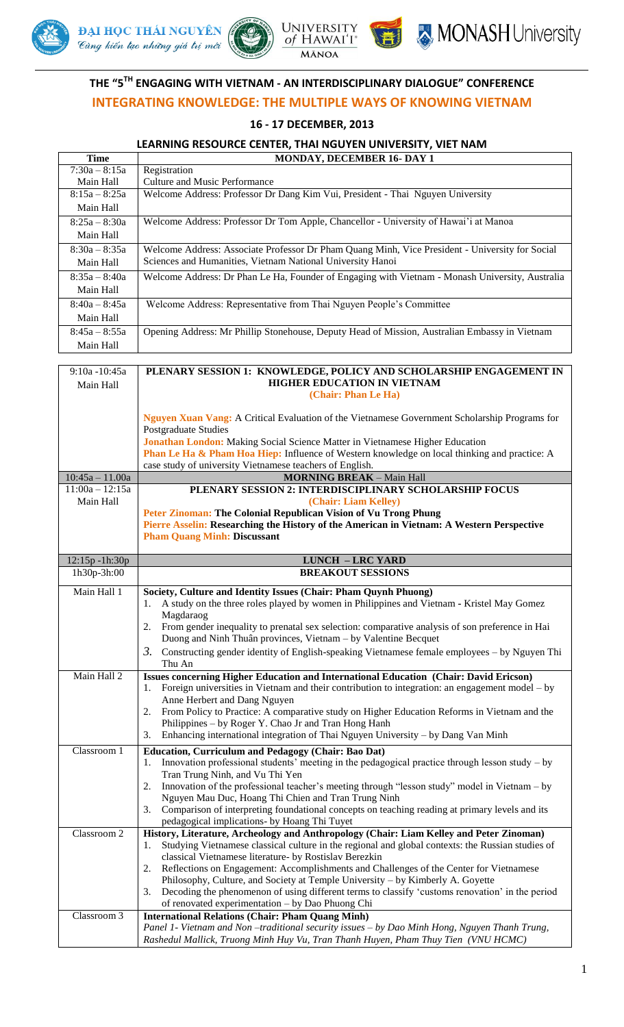







# **THE "5 TH ENGAGING WITH VIETNAM - AN INTERDISCIPLINARY DIALOGUE" CONFERENCE INTEGRATING KNOWLEDGE: THE MULTIPLE WAYS OF KNOWING VIETNAM**

## **16 - 17 DECEMBER, 2013**

| <b>Time</b>                  | <b>MONDAY, DECEMBER 16- DAY 1</b>                                                                                                                                                                                                                   |
|------------------------------|-----------------------------------------------------------------------------------------------------------------------------------------------------------------------------------------------------------------------------------------------------|
| $7:30a - 8:15a$              | Registration                                                                                                                                                                                                                                        |
| Main Hall                    | Culture and Music Performance                                                                                                                                                                                                                       |
| $8:15a - 8:25a$              | Welcome Address: Professor Dr Dang Kim Vui, President - Thai Nguyen University                                                                                                                                                                      |
| Main Hall                    |                                                                                                                                                                                                                                                     |
| $8:25a - 8:30a$              | Welcome Address: Professor Dr Tom Apple, Chancellor - University of Hawai'i at Manoa                                                                                                                                                                |
| Main Hall                    |                                                                                                                                                                                                                                                     |
| $8:30a - 8:35a$              | Welcome Address: Associate Professor Dr Pham Quang Minh, Vice President - University for Social                                                                                                                                                     |
| Main Hall                    | Sciences and Humanities, Vietnam National University Hanoi                                                                                                                                                                                          |
| $8:35a - 8:40a$              |                                                                                                                                                                                                                                                     |
|                              | Welcome Address: Dr Phan Le Ha, Founder of Engaging with Vietnam - Monash University, Australia                                                                                                                                                     |
| Main Hall                    |                                                                                                                                                                                                                                                     |
| $8:40a - 8:45a$              | Welcome Address: Representative from Thai Nguyen People's Committee                                                                                                                                                                                 |
| Main Hall                    |                                                                                                                                                                                                                                                     |
| $8:45a - 8:55a$              | Opening Address: Mr Phillip Stonehouse, Deputy Head of Mission, Australian Embassy in Vietnam                                                                                                                                                       |
| Main Hall                    |                                                                                                                                                                                                                                                     |
| 9:10a -10:45a<br>Main Hall   | PLENARY SESSION 1: KNOWLEDGE, POLICY AND SCHOLARSHIP ENGAGEMENT IN<br><b>HIGHER EDUCATION IN VIETNAM</b><br>(Chair: Phan Le Ha)                                                                                                                     |
|                              | Nguyen Xuan Vang: A Critical Evaluation of the Vietnamese Government Scholarship Programs for<br><b>Postgraduate Studies</b>                                                                                                                        |
|                              | Jonathan London: Making Social Science Matter in Vietnamese Higher Education<br><b>Phan Le Ha &amp; Pham Hoa Hiep:</b> Influence of Western knowledge on local thinking and practice: A<br>case study of university Vietnamese teachers of English. |
| $10:45a - 11.00a$            | <b>MORNING BREAK - Main Hall</b>                                                                                                                                                                                                                    |
| $\overline{11:}00a - 12:15a$ | PLENARY SESSION 2: INTERDISCIPLINARY SCHOLARSHIP FOCUS                                                                                                                                                                                              |
| Main Hall                    | (Chair: Liam Kelley)                                                                                                                                                                                                                                |
|                              | Peter Zinoman: The Colonial Republican Vision of Vu Trong Phung                                                                                                                                                                                     |
|                              | Pierre Asselin: Researching the History of the American in Vietnam: A Western Perspective                                                                                                                                                           |
|                              | <b>Pham Quang Minh: Discussant</b>                                                                                                                                                                                                                  |
|                              |                                                                                                                                                                                                                                                     |
|                              |                                                                                                                                                                                                                                                     |
| 12:15p-1h:30p                | <b>LUNCH - LRC YARD</b>                                                                                                                                                                                                                             |
| 1h30p-3h:00                  | <b>BREAKOUT SESSIONS</b>                                                                                                                                                                                                                            |
|                              |                                                                                                                                                                                                                                                     |
| Main Hall 1                  | Society, Culture and Identity Issues (Chair: Pham Quynh Phuong)                                                                                                                                                                                     |
|                              | 1. A study on the three roles played by women in Philippines and Vietnam - Kristel May Gomez<br>Magdaraog                                                                                                                                           |
|                              | From gender inequality to prenatal sex selection: comparative analysis of son preference in Hai<br>2.                                                                                                                                               |
|                              | Duong and Ninh Thuân provinces, Vietnam – by Valentine Becquet                                                                                                                                                                                      |
|                              | Constructing gender identity of English-speaking Vietnamese female employees – by Nguyen Thi<br>3.                                                                                                                                                  |
|                              | Thu An                                                                                                                                                                                                                                              |
| Main Hall 2                  | Issues concerning Higher Education and International Education (Chair: David Ericson)                                                                                                                                                               |
|                              | Foreign universities in Vietnam and their contribution to integration: an engagement model – by<br>1.                                                                                                                                               |
|                              | Anne Herbert and Dang Nguyen                                                                                                                                                                                                                        |
|                              | From Policy to Practice: A comparative study on Higher Education Reforms in Vietnam and the<br>2.                                                                                                                                                   |
|                              | Philippines - by Roger Y. Chao Jr and Tran Hong Hanh                                                                                                                                                                                                |
|                              | Enhancing international integration of Thai Nguyen University - by Dang Van Minh<br>3.                                                                                                                                                              |
| Classroom 1                  | Education, Curriculum and Pedagogy (Chair: Bao Dat)                                                                                                                                                                                                 |
|                              | Innovation professional students' meeting in the pedagogical practice through lesson study $-$ by<br>1.                                                                                                                                             |
|                              | Tran Trung Ninh, and Vu Thi Yen                                                                                                                                                                                                                     |
|                              | Innovation of the professional teacher's meeting through "lesson study" model in Vietnam - by<br>2.                                                                                                                                                 |
|                              | Nguyen Mau Duc, Hoang Thi Chien and Tran Trung Ninh                                                                                                                                                                                                 |
|                              | Comparison of interpreting foundational concepts on teaching reading at primary levels and its<br>3.                                                                                                                                                |
|                              | pedagogical implications- by Hoang Thi Tuyet                                                                                                                                                                                                        |
| Classroom 2                  | History, Literature, Archeology and Anthropology (Chair: Liam Kelley and Peter Zinoman)<br>1.                                                                                                                                                       |
|                              | Studying Vietnamese classical culture in the regional and global contexts: the Russian studies of<br>classical Vietnamese literature- by Rostislav Berezkin                                                                                         |
|                              | Reflections on Engagement: Accomplishments and Challenges of the Center for Vietnamese<br>2.                                                                                                                                                        |
|                              | Philosophy, Culture, and Society at Temple University - by Kimberly A. Goyette                                                                                                                                                                      |
|                              | Decoding the phenomenon of using different terms to classify 'customs renovation' in the period<br>3.                                                                                                                                               |
|                              | of renovated experimentation - by Dao Phuong Chi                                                                                                                                                                                                    |
| Classroom 3                  | <b>International Relations (Chair: Pham Quang Minh)</b>                                                                                                                                                                                             |
|                              | Panel 1- Vietnam and Non-traditional security issues - by Dao Minh Hong, Nguyen Thanh Trung,<br>Rashedul Mallick, Truong Minh Huy Vu, Tran Thanh Huyen, Pham Thuy Tien (VNU HCMC)                                                                   |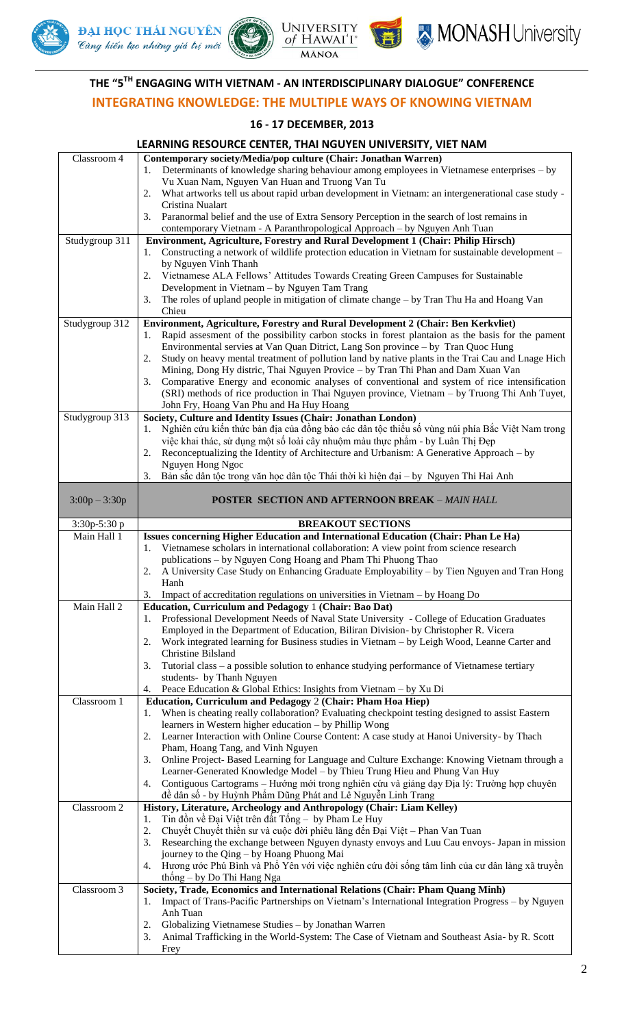







# **THE "5 TH ENGAGING WITH VIETNAM - AN INTERDISCIPLINARY DIALOGUE" CONFERENCE**

**MĀNOA** 

## **INTEGRATING KNOWLEDGE: THE MULTIPLE WAYS OF KNOWING VIETNAM**

#### **16 - 17 DECEMBER, 2013**

#### **LEARNING RESOURCE CENTER, THAI NGUYEN UNIVERSITY, VIET NAM**  Classroom 4 **Contemporary society/Media/pop culture (Chair: Jonathan Warren)** 1. Determinants of knowledge sharing behaviour among employees in Vietnamese enterprises – by Vu Xuan Nam, Nguyen Van Huan and Truong Van Tu 2. What artworks tell us about rapid urban development in Vietnam: an intergenerational case study - Cristina Nualart 3. Paranormal belief and the use of Extra Sensory Perception in the search of lost remains in contemporary Vietnam - A Paranthropological Approach – by Nguyen Anh Tuan Studygroup 311 **Environment, Agriculture, Forestry and Rural Development 1 (Chair: Philip Hirsch)** 1. Constructing a network of wildlife protection education in Vietnam for sustainable development – by Nguyen Vinh Thanh 2. Vietnamese ALA Fellows" Attitudes Towards Creating Green Campuses for Sustainable Development in Vietnam – by Nguyen Tam Trang 3. The roles of upland people in mitigation of climate change – by Tran Thu Ha and Hoang Van Chieu Studygroup 312 **Environment, Agriculture, Forestry and Rural Development 2 (Chair: Ben Kerkvliet)** Rapid assesment of the possibility carbon stocks in forest plantaion as the basis for the pament Environmental servies at Van Quan Ditrict, Lang Son province – by Tran Quoc Hung 2. Study on heavy mental treatment of pollution land by native plants in the Trai Cau and Lnage Hich Mining, Dong Hy distric, Thai Nguyen Provice – by Tran Thi Phan and Dam Xuan Van 3. Comparative Energy and economic analyses of conventional and system of rice intensification (SRI) methods of rice production in Thai Nguyen province, Vietnam – by Truong Thi Anh Tuyet, John Fry, Hoang Van Phu and Ha Huy Hoang Studygroup 313 **Society, Culture and Identity Issues (Chair: Jonathan London)** 1. Nghiên cứu kiến thức bản địa của đồng bào các dân tộc thiểu số vùng núi phía Bắc Việt Nam trong việc khai thác, sử dụng một số loài cây nhuộm màu thực phẩm - by Luân Thị Đẹp 2. Reconceptualizing the Identity of Architecture and Urbanism: A Generative Approach – by Nguyen Hong Ngoc 3. Bản sắc dân tộc trong văn học dân tộc Thái thời kì hiện đại – by Nguyen Thi Hai Anh 3:00p – 3:30p **POSTER SECTION AND AFTERNOON BREAK** *– MAIN HALL* 3:30p-5:30 p **BREAKOUT SECTIONS** Main Hall 1 **Issues concerning Higher Education and International Education (Chair: Phan Le Ha)** 1. Vietnamese scholars in international collaboration: A view point from science research publications – by Nguyen Cong Hoang and Pham Thi Phuong Thao 2. A University Case Study on Enhancing Graduate Employability – by Tien Nguyen and Tran Hong Hanh 3. Impact of accreditation regulations on universities in Vietnam – by Hoang Do Main Hall 2 **Education, Curriculum and Pedagogy** 1 **(Chair: Bao Dat)** 1. Professional Development Needs of Naval State University - College of Education Graduates Employed in the Department of Education, Biliran Division- by Christopher R. Vicera 2. Work integrated learning for Business studies in Vietnam – by Leigh Wood, Leanne Carter and Christine Bilsland 3. Tutorial class – a possible solution to enhance studying performance of Vietnamese tertiary students- by Thanh Nguyen Peace Education & Global Ethics: Insights from Vietnam – by Xu Di Classroom 1 **Education, Curriculum and Pedagogy** 2 **(Chair: Pham Hoa Hiep)** 1. When is cheating really collaboration? Evaluating checkpoint testing designed to assist Eastern learners in Western higher education – by Phillip Wong 2. Learner Interaction with Online Course Content: A case study at Hanoi University- by Thach Pham, Hoang Tang, and Vinh Nguyen 3. Online Project- Based Learning for Language and Culture Exchange: Knowing Vietnam through a Learner-Generated Knowledge Model – by Thieu Trung Hieu and Phung Van Huy 4. Contiguous Cartograms – Hướng mới trong nghiên cứu và giảng dạy Địa lý: Trường hợp chuyên đề dân số - by Huỳnh Phẩm Dũng Phát and Lê Nguyễn Linh Trang Classroom 2 **History, Literature, Archeology and Anthropology (Chair: Liam Kelley)** 1. Tin đồn về Đại Việt trên đất Tống – by Pham Le Huy 2. Chuyết Chuyết thiền sư và cuộc đời phiêu lãng đến Đại Việt – Phan Van Tuan 3. Researching the exchange between Nguyen dynasty envoys and Luu Cau envoys- Japan in mission journey to the Qing – by Hoang Phuong Mai 4. Hương ước Phú Bình và Phổ Yên với việc nghiên cứu đời sống tâm linh của cư dân làng xã truyền thống – by Do Thi Hang Nga Classroom 3 **Society, Trade, Economics and International Relations (Chair: Pham Quang Minh)** 1. Impact of Trans-Pacific Partnerships on Vietnam"s International Integration Progress – by Nguyen Anh Tuan 2. Globalizing Vietnamese Studies – by Jonathan Warren 3. Animal Trafficking in the World-System: The Case of Vietnam and Southeast Asia- by R. Scott Frey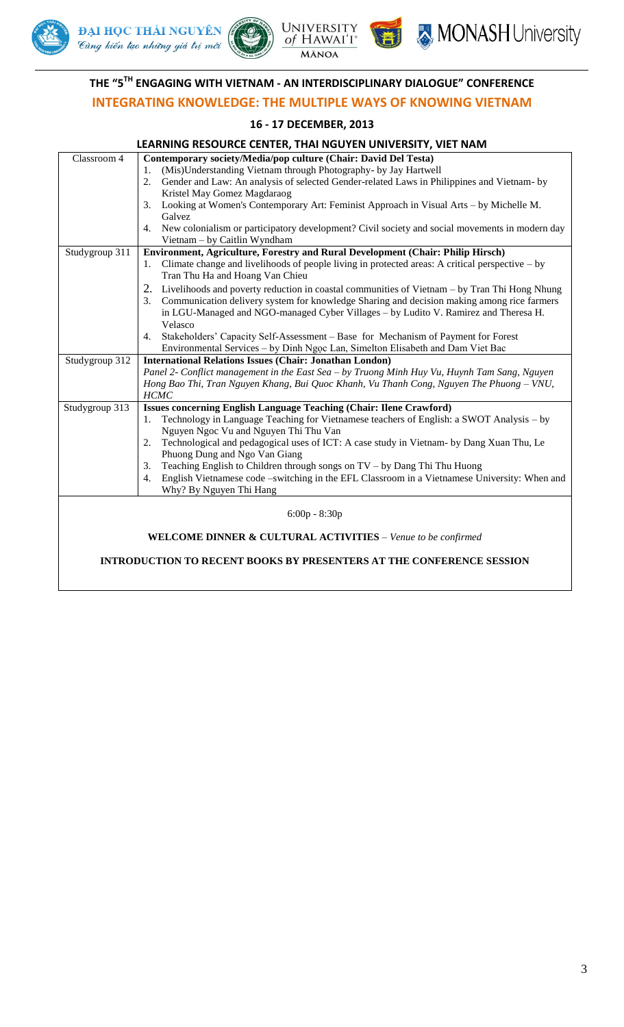







# **THE "5 TH ENGAGING WITH VIETNAM - AN INTERDISCIPLINARY DIALOGUE" CONFERENCE**

# **INTEGRATING KNOWLEDGE: THE MULTIPLE WAYS OF KNOWING VIETNAM**

#### **16 - 17 DECEMBER, 2013**

| Classroom 4                                                                 | Contemporary society/Media/pop culture (Chair: David Del Testa)                                                                      |  |
|-----------------------------------------------------------------------------|--------------------------------------------------------------------------------------------------------------------------------------|--|
|                                                                             | (Mis)Understanding Vietnam through Photography- by Jay Hartwell<br>1.                                                                |  |
|                                                                             | Gender and Law: An analysis of selected Gender-related Laws in Philippines and Vietnam- by<br>2.                                     |  |
|                                                                             | Kristel May Gomez Magdaraog                                                                                                          |  |
|                                                                             | Looking at Women's Contemporary Art: Feminist Approach in Visual Arts - by Michelle M.<br>3.                                         |  |
|                                                                             | Galvez                                                                                                                               |  |
|                                                                             | New colonialism or participatory development? Civil society and social movements in modern day<br>4.<br>Vietnam - by Caitlin Wyndham |  |
| Studygroup 311                                                              | Environment, Agriculture, Forestry and Rural Development (Chair: Philip Hirsch)                                                      |  |
|                                                                             | 1. Climate change and livelihoods of people living in protected areas: A critical perspective – by                                   |  |
|                                                                             | Tran Thu Ha and Hoang Van Chieu                                                                                                      |  |
|                                                                             | Livelihoods and poverty reduction in coastal communities of Vietnam – by Tran Thi Hong Nhung<br>2.                                   |  |
|                                                                             | Communication delivery system for knowledge Sharing and decision making among rice farmers<br>3.                                     |  |
|                                                                             | in LGU-Managed and NGO-managed Cyber Villages - by Ludito V. Ramirez and Theresa H.                                                  |  |
|                                                                             | Velasco                                                                                                                              |  |
|                                                                             | Stakeholders' Capacity Self-Assessment - Base for Mechanism of Payment for Forest<br>4.                                              |  |
|                                                                             | Environmental Services - by Dinh Ngọc Lan, Simelton Elisabeth and Dam Viet Bac                                                       |  |
| Studygroup 312                                                              | <b>International Relations Issues (Chair: Jonathan London)</b>                                                                       |  |
|                                                                             | Panel 2- Conflict management in the East Sea – by Truong Minh Huy Vu, Huynh Tam Sang, Nguyen                                         |  |
|                                                                             | Hong Bao Thi, Tran Nguyen Khang, Bui Quoc Khanh, Vu Thanh Cong, Nguyen The Phuong - VNU,                                             |  |
|                                                                             | <b>HCMC</b>                                                                                                                          |  |
| Studygroup 313                                                              | Issues concerning English Language Teaching (Chair: Ilene Crawford)                                                                  |  |
|                                                                             | Technology in Language Teaching for Vietnamese teachers of English: a SWOT Analysis – by<br>1.                                       |  |
|                                                                             | Nguyen Ngoc Vu and Nguyen Thi Thu Van                                                                                                |  |
|                                                                             | Technological and pedagogical uses of ICT: A case study in Vietnam- by Dang Xuan Thu, Le<br>2.<br>Phuong Dung and Ngo Van Giang      |  |
|                                                                             | Teaching English to Children through songs on TV - by Dang Thi Thu Huong<br>3.                                                       |  |
|                                                                             | English Vietnamese code -switching in the EFL Classroom in a Vietnamese University: When and<br>$\overline{4}$ .                     |  |
|                                                                             | Why? By Nguyen Thi Hang                                                                                                              |  |
|                                                                             |                                                                                                                                      |  |
| $6:00p - 8:30p$                                                             |                                                                                                                                      |  |
| <b>WELCOME DINNER &amp; CULTURAL ACTIVITIES - Venue to be confirmed</b>     |                                                                                                                                      |  |
| <b>INTRODUCTION TO RECENT BOOKS BY PRESENTERS AT THE CONFERENCE SESSION</b> |                                                                                                                                      |  |
|                                                                             |                                                                                                                                      |  |
|                                                                             |                                                                                                                                      |  |
|                                                                             |                                                                                                                                      |  |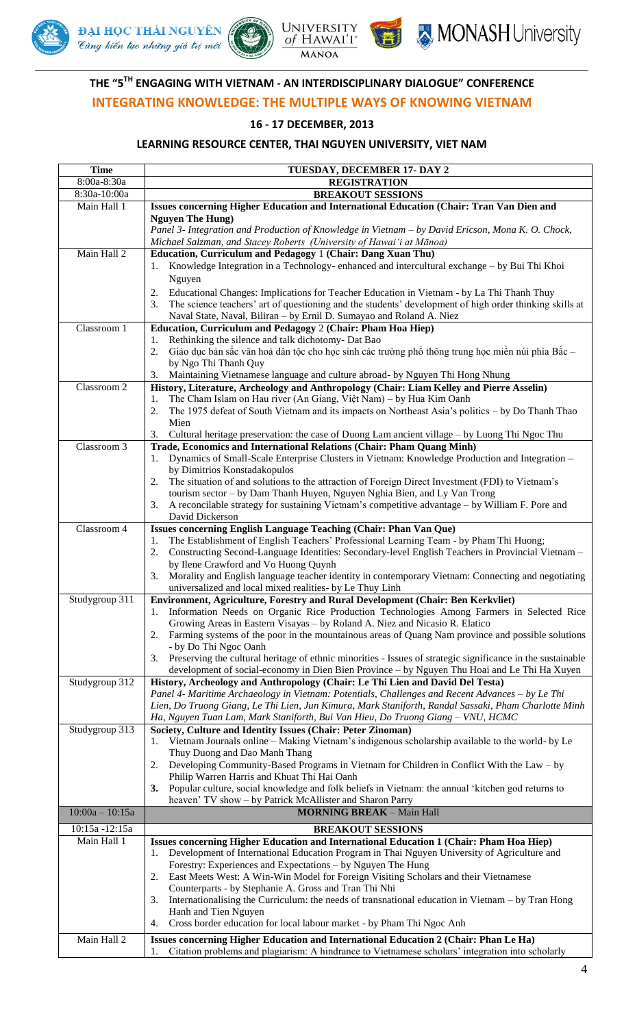







# **THE "5 TH ENGAGING WITH VIETNAM - AN INTERDISCIPLINARY DIALOGUE" CONFERENCE INTEGRATING KNOWLEDGE: THE MULTIPLE WAYS OF KNOWING VIETNAM**

## **16 - 17 DECEMBER, 2013**

| <b>Time</b>                   | TUESDAY, DECEMBER 17- DAY 2                                                                                                                                                                                       |
|-------------------------------|-------------------------------------------------------------------------------------------------------------------------------------------------------------------------------------------------------------------|
| 8:00a-8:30a<br>8:30a-10:00a   | <b>REGISTRATION</b>                                                                                                                                                                                               |
| Main Hall 1                   | <b>BREAKOUT SESSIONS</b><br>Issues concerning Higher Education and International Education (Chair: Tran Van Dien and                                                                                              |
|                               | <b>Nguyen The Hung</b> )                                                                                                                                                                                          |
|                               | Panel 3- Integration and Production of Knowledge in Vietnam - by David Ericson, Mona K. O. Chock,                                                                                                                 |
|                               | Michael Salzman, and Stacey Roberts (University of Hawai'i at Mānoa)                                                                                                                                              |
| Main Hall 2                   | Education, Curriculum and Pedagogy 1 (Chair: Dang Xuan Thu)                                                                                                                                                       |
|                               | Knowledge Integration in a Technology-enhanced and intercultural exchange - by Bui Thi Khoi<br>1.                                                                                                                 |
|                               | Nguyen                                                                                                                                                                                                            |
|                               | Educational Changes: Implications for Teacher Education in Vietnam - by La Thi Thanh Thuy<br>2.<br>3.<br>The science teachers' art of questioning and the students' development of high order thinking skills at  |
|                               | Naval State, Naval, Biliran - by Ernil D. Sumayao and Roland A. Niez                                                                                                                                              |
| Classroom 1                   | Education, Curriculum and Pedagogy 2 (Chair: Pham Hoa Hiep)                                                                                                                                                       |
|                               | Rethinking the silence and talk dichotomy- Dat Bao<br>1.                                                                                                                                                          |
|                               | Giáo dục bản sắc văn hoá dân tộc cho học sinh các trường phổ thông trung học miền núi phía Bắc -<br>2.                                                                                                            |
|                               | by Ngo Thi Thanh Quy                                                                                                                                                                                              |
| Classroom 2                   | Maintaining Vietnamese language and culture abroad- by Nguyen Thi Hong Nhung<br>3.<br>History, Literature, Archeology and Anthropology (Chair: Liam Kelley and Pierre Asselin)                                    |
|                               | The Cham Islam on Hau river (An Giang, Việt Nam) – by Hua Kim Oanh<br>1.                                                                                                                                          |
|                               | 2.<br>The 1975 defeat of South Vietnam and its impacts on Northeast Asia's politics – by Do Thanh Thao                                                                                                            |
|                               | Mien                                                                                                                                                                                                              |
|                               | Cultural heritage preservation: the case of Duong Lam ancient village – by Luong Thi Ngoc Thu<br>3.                                                                                                               |
| Classroom 3                   | Trade, Economics and International Relations (Chair: Pham Quang Minh)<br>Dynamics of Small-Scale Enterprise Clusters in Vietnam: Knowledge Production and Integration -                                           |
|                               | 1.<br>by Dimitrios Konstadakopulos                                                                                                                                                                                |
|                               | The situation of and solutions to the attraction of Foreign Direct Investment (FDI) to Vietnam's<br>2.                                                                                                            |
|                               | tourism sector - by Dam Thanh Huyen, Nguyen Nghia Bien, and Ly Van Trong                                                                                                                                          |
|                               | A reconcilable strategy for sustaining Vietnam's competitive advantage – by William F. Pore and<br>3.                                                                                                             |
| Classroom 4                   | David Dickerson                                                                                                                                                                                                   |
|                               | Issues concerning English Language Teaching (Chair: Phan Van Que)<br>The Establishment of English Teachers' Professional Learning Team - by Pham Thi Huong;<br>1.                                                 |
|                               | Constructing Second-Language Identities: Secondary-level English Teachers in Provincial Vietnam -<br>2.                                                                                                           |
|                               | by Ilene Crawford and Vo Huong Quynh                                                                                                                                                                              |
|                               | Morality and English language teacher identity in contemporary Vietnam: Connecting and negotiating<br>3.                                                                                                          |
| Studygroup 311                | universalized and local mixed realities- by Le Thuy Linh<br>Environment, Agriculture, Forestry and Rural Development (Chair: Ben Kerkvliet)                                                                       |
|                               | Information Needs on Organic Rice Production Technologies Among Farmers in Selected Rice<br>1.                                                                                                                    |
|                               | Growing Areas in Eastern Visayas - by Roland A. Niez and Nicasio R. Elatico                                                                                                                                       |
|                               | Farming systems of the poor in the mountainous areas of Quang Nam province and possible solutions<br>2.                                                                                                           |
|                               | - by Do Thi Ngoc Oanh                                                                                                                                                                                             |
|                               | Preserving the cultural heritage of ethnic minorities - Issues of strategic significance in the sustainable<br>3.<br>development of social-economy in Dien Bien Province - by Nguyen Thu Hoai and Le Thi Ha Xuyen |
| Studygroup 312                | History, Archeology and Anthropology (Chair: Le Thi Lien and David Del Testa)                                                                                                                                     |
|                               | Panel 4- Maritime Archaeology in Vietnam: Potentials, Challenges and Recent Advances - by Le Thi                                                                                                                  |
|                               | Lien, Do Truong Giang, Le Thi Lien, Jun Kimura, Mark Staniforth, Randal Sassaki, Pham Charlotte Minh                                                                                                              |
|                               | Ha, Nguyen Tuan Lam, Mark Staniforth, Bui Van Hieu, Do Truong Giang - VNU, HCMC                                                                                                                                   |
| Studygroup 313                | Society, Culture and Identity Issues (Chair: Peter Zinoman)<br>Vietnam Journals online – Making Vietnam's indigenous scholarship available to the world- by Le                                                    |
|                               | 1.<br>Thuy Duong and Dao Manh Thang                                                                                                                                                                               |
|                               | Developing Community-Based Programs in Vietnam for Children in Conflict With the Law – by<br>2.                                                                                                                   |
|                               | Philip Warren Harris and Khuat Thi Hai Oanh                                                                                                                                                                       |
|                               | Popular culture, social knowledge and folk beliefs in Vietnam: the annual 'kitchen god returns to<br>3.                                                                                                           |
| $10:00a - 10:15a$             | heaven' TV show - by Patrick McAllister and Sharon Parry<br><b>MORNING BREAK - Main Hall</b>                                                                                                                      |
|                               |                                                                                                                                                                                                                   |
| 10:15a -12:15a<br>Main Hall 1 | <b>BREAKOUT SESSIONS</b><br>Issues concerning Higher Education and International Education 1 (Chair: Pham Hoa Hiep)                                                                                               |
|                               | Development of International Education Program in Thai Nguyen University of Agriculture and<br>1.                                                                                                                 |
|                               | Forestry: Experiences and Expectations - by Nguyen The Hung                                                                                                                                                       |
|                               | East Meets West: A Win-Win Model for Foreign Visiting Scholars and their Vietnamese<br>2.                                                                                                                         |
|                               | Counterparts - by Stephanie A. Gross and Tran Thi Nhi                                                                                                                                                             |
|                               | Internationalising the Curriculum: the needs of transnational education in Vietnam – by Tran Hong<br>3.<br>Hanh and Tien Nguyen                                                                                   |
|                               | Cross border education for local labour market - by Pham Thi Ngoc Anh<br>4.                                                                                                                                       |
| Main Hall 2                   | Issues concerning Higher Education and International Education 2 (Chair: Phan Le Ha)                                                                                                                              |
|                               | Citation problems and plagiarism: A hindrance to Vietnamese scholars' integration into scholarly<br>1.                                                                                                            |
|                               |                                                                                                                                                                                                                   |